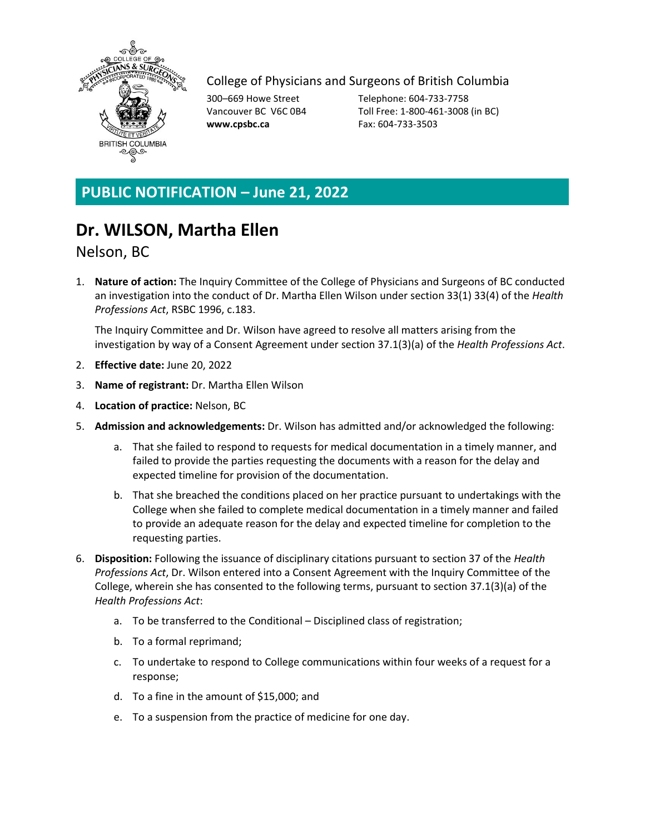

## College of Physicians and Surgeons of British Columbia

**www.cpsbc.ca** Fax: 604-733-3503

300–669 Howe Street Telephone: 604-733-7758 Vancouver BC V6C 0B4 Toll Free: 1-800-461-3008 (in BC)

## **PUBLIC NOTIFICATION – June 21, 2022**

## **Dr. WILSON, Martha Ellen**

## Nelson, BC

1. **Nature of action:** The Inquiry Committee of the College of Physicians and Surgeons of BC conducted an investigation into the conduct of Dr. Martha Ellen Wilson under section 33(1) 33(4) of the *Health Professions Act*, RSBC 1996, c.183.

The Inquiry Committee and Dr. Wilson have agreed to resolve all matters arising from the investigation by way of a Consent Agreement under section 37.1(3)(a) of the *Health Professions Act*.

- 2. **Effective date:** June 20, 2022
- 3. **Name of registrant:** Dr. Martha Ellen Wilson
- 4. **Location of practice:** Nelson, BC
- 5. **Admission and acknowledgements:** Dr. Wilson has admitted and/or acknowledged the following:
	- a. That she failed to respond to requests for medical documentation in a timely manner, and failed to provide the parties requesting the documents with a reason for the delay and expected timeline for provision of the documentation.
	- b. That she breached the conditions placed on her practice pursuant to undertakings with the College when she failed to complete medical documentation in a timely manner and failed to provide an adequate reason for the delay and expected timeline for completion to the requesting parties.
- 6. **Disposition:** Following the issuance of disciplinary citations pursuant to section 37 of the *Health Professions Act*, Dr. Wilson entered into a Consent Agreement with the Inquiry Committee of the College, wherein she has consented to the following terms, pursuant to section 37.1(3)(a) of the *Health Professions Act*:
	- a. To be transferred to the Conditional Disciplined class of registration;
	- b. To a formal reprimand;
	- c. To undertake to respond to College communications within four weeks of a request for a response;
	- d. To a fine in the amount of \$15,000; and
	- e. To a suspension from the practice of medicine for one day.